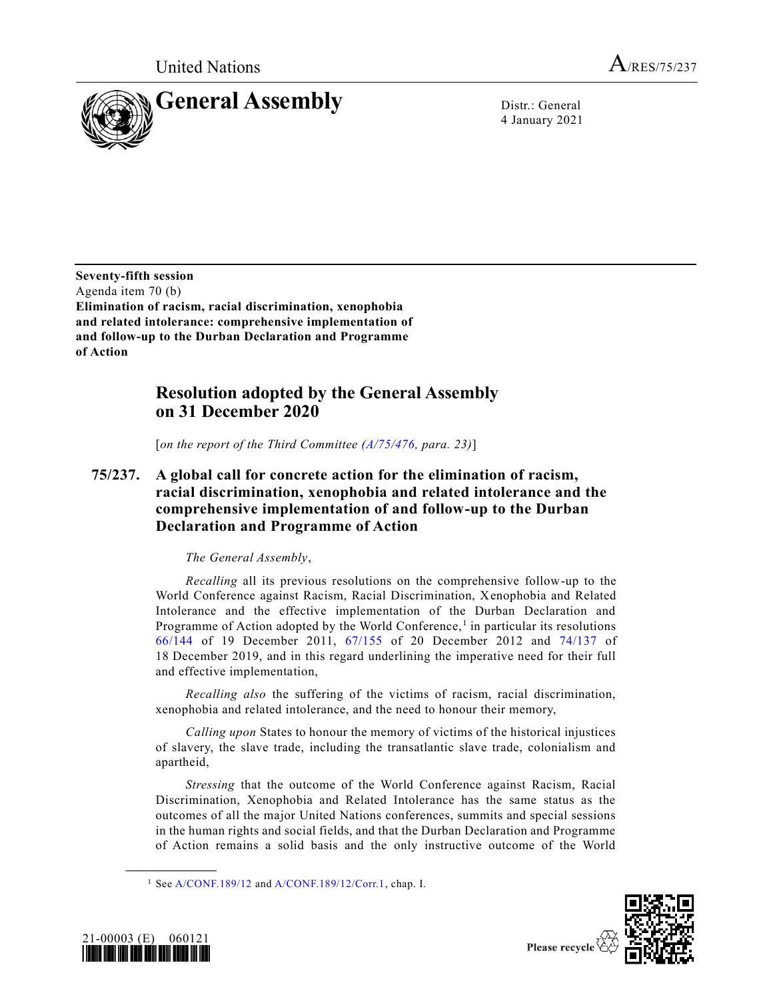United Nations  $A_{/RES/75/237}$ 



4 January 2021

**Seventy-fifth session** Agenda item 70 (b) **Elimination of racism, racial discrimination, xenophobia and related intolerance: comprehensive implementation of and follow-up to the Durban Declaration and Programme of Action**

# **Resolution adopted by the General Assembly on 31 December 2020**

[*on the report of the Third Committee [\(A/75/476,](https://undocs.org/en/A/75/476) para. 23)*]

**75/237. A global call for concrete action for the elimination of racism, racial discrimination, xenophobia and related intolerance and the comprehensive implementation of and follow-up to the Durban Declaration and Programme of Action**

# *The General Assembly*,

*Recalling* all its previous resolutions on the comprehensive follow-up to the World Conference against Racism, Racial Discrimination, Xenophobia and Related Intolerance and the effective implementation of the Durban Declaration and Programme of Action adopted by the World Conference,<sup>1</sup> in particular its resolutions [66/144](https://undocs.org/en/A/RES/66/144) of 19 December 2011, [67/155](https://undocs.org/en/A/RES/67/155) of 20 December 2012 and [74/137](https://undocs.org/en/A/RES/74/137) of 18 December 2019, and in this regard underlining the imperative need for their full and effective implementation,

*Recalling also* the suffering of the victims of racism, racial discrimination, xenophobia and related intolerance, and the need to honour their memory,

*Calling upon* States to honour the memory of victims of the historical injustices of slavery, the slave trade, including the transatlantic slave trade, colonialism and apartheid,

*Stressing* that the outcome of the World Conference against Racism, Racial Discrimination, Xenophobia and Related Intolerance has the same status as the outcomes of all the major United Nations conferences, summits and special sessions in the human rights and social fields, and that the Durban Declaration and Programme of Action remains a solid basis and the only instructive outcome of the World





<sup>&</sup>lt;sup>1</sup> Se[e A/CONF.189/12](https://undocs.org/en/A/CONF.189/12) an[d A/CONF.189/12/Corr.1,](https://undocs.org/en/A/CONF.189/12/Corr.1) chap. I.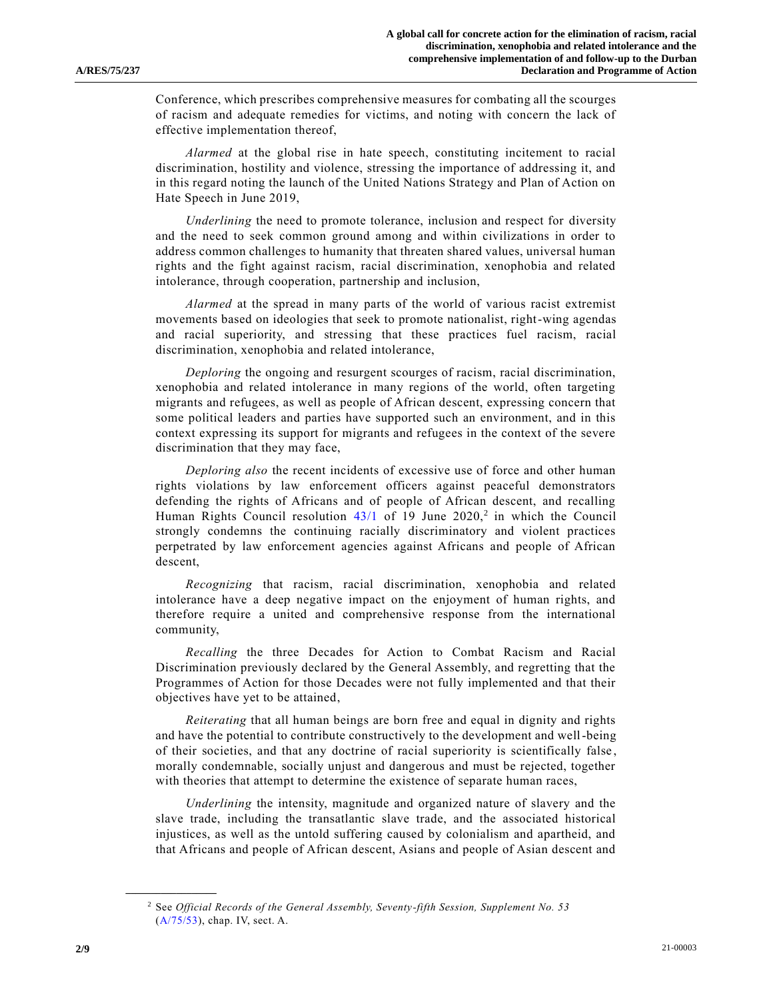Conference, which prescribes comprehensive measures for combating all the scourges of racism and adequate remedies for victims, and noting with concern the lack of effective implementation thereof,

*Alarmed* at the global rise in hate speech, constituting incitement to racial discrimination, hostility and violence, stressing the importance of addressing it, and in this regard noting the launch of the United Nations Strategy and Plan of Action on Hate Speech in June 2019,

*Underlining* the need to promote tolerance, inclusion and respect for diversity and the need to seek common ground among and within civilizations in order to address common challenges to humanity that threaten shared values, universal human rights and the fight against racism, racial discrimination, xenophobia and related intolerance, through cooperation, partnership and inclusion,

*Alarmed* at the spread in many parts of the world of various racist extremist movements based on ideologies that seek to promote nationalist, right-wing agendas and racial superiority, and stressing that these practices fuel racism, racial discrimination, xenophobia and related intolerance,

*Deploring* the ongoing and resurgent scourges of racism, racial discrimination, xenophobia and related intolerance in many regions of the world, often targeting migrants and refugees, as well as people of African descent, expressing concern that some political leaders and parties have supported such an environment, and in this context expressing its support for migrants and refugees in the context of the severe discrimination that they may face,

*Deploring also* the recent incidents of excessive use of force and other human rights violations by law enforcement officers against peaceful demonstrators defending the rights of Africans and of people of African descent, and recalling Human Rights Council resolution  $43/1$  of 19 June  $2020$ <sup>2</sup> in which the Council strongly condemns the continuing racially discriminatory and violent practices perpetrated by law enforcement agencies against Africans and people of African descent,

*Recognizing* that racism, racial discrimination, xenophobia and related intolerance have a deep negative impact on the enjoyment of human rights, and therefore require a united and comprehensive response from the international community,

*Recalling* the three Decades for Action to Combat Racism and Racial Discrimination previously declared by the General Assembly, and regretting that the Programmes of Action for those Decades were not fully implemented and that their objectives have yet to be attained,

*Reiterating* that all human beings are born free and equal in dignity and rights and have the potential to contribute constructively to the development and well-being of their societies, and that any doctrine of racial superiority is scientifically false , morally condemnable, socially unjust and dangerous and must be rejected, together with theories that attempt to determine the existence of separate human races,

*Underlining* the intensity, magnitude and organized nature of slavery and the slave trade, including the transatlantic slave trade, and the associated historical injustices, as well as the untold suffering caused by colonialism and apartheid, and that Africans and people of African descent, Asians and people of Asian descent and

<sup>2</sup> See *Official Records of the General Assembly, Seventy-fifth Session, Supplement No. 53* [\(A/75/53\)](https://undocs.org/en/A/75/53), chap. IV, sect. A.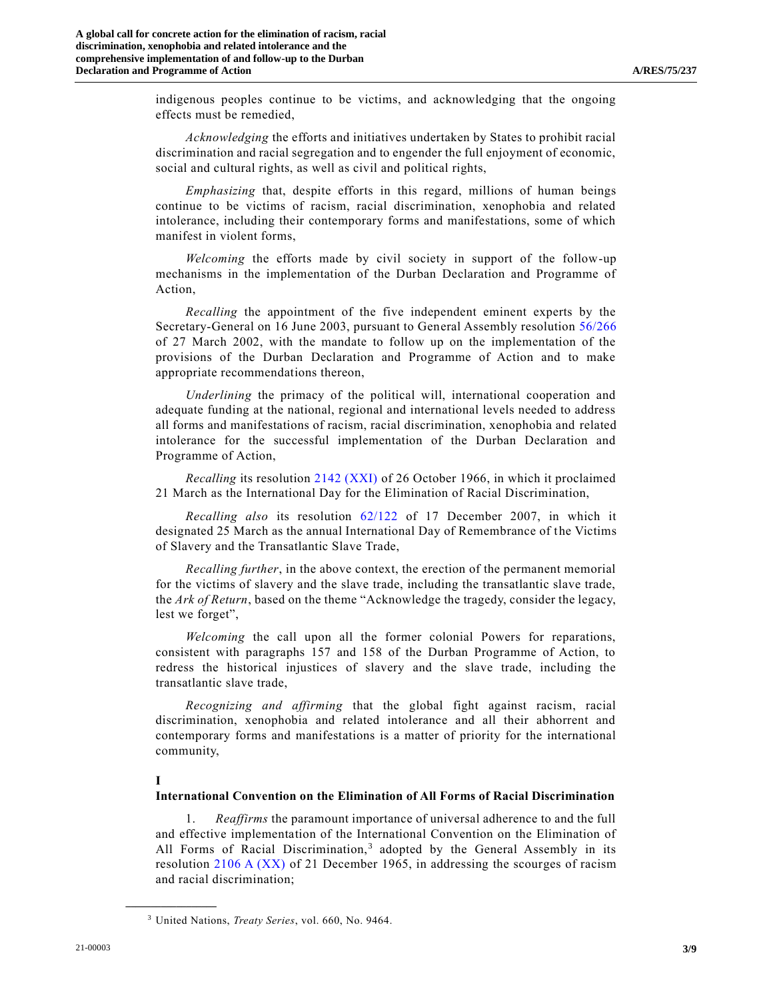indigenous peoples continue to be victims, and acknowledging that the ongoing effects must be remedied,

*Acknowledging* the efforts and initiatives undertaken by States to prohibit racial discrimination and racial segregation and to engender the full enjoyment of economic, social and cultural rights, as well as civil and political rights,

*Emphasizing* that, despite efforts in this regard, millions of human beings continue to be victims of racism, racial discrimination, xenophobia and related intolerance, including their contemporary forms and manifestations, some of which manifest in violent forms,

*Welcoming* the efforts made by civil society in support of the follow-up mechanisms in the implementation of the Durban Declaration and Programme of Action,

*Recalling* the appointment of the five independent eminent experts by the Secretary-General on 16 June 2003, pursuant to General Assembly resolution [56/266](https://undocs.org/en/A/RES/56/266) of 27 March 2002, with the mandate to follow up on the implementation of the provisions of the Durban Declaration and Programme of Action and to make appropriate recommendations thereon,

*Underlining* the primacy of the political will, international cooperation and adequate funding at the national, regional and international levels needed to address all forms and manifestations of racism, racial discrimination, xenophobia and related intolerance for the successful implementation of the Durban Declaration and Programme of Action,

*Recalling* its resolution [2142 \(XXI\)](https://undocs.org/en/A/RES/2142(XXI)) of 26 October 1966, in which it proclaimed 21 March as the International Day for the Elimination of Racial Discrimination,

*Recalling also* its resolution [62/122](https://undocs.org/en/A/RES/62/122) of 17 December 2007, in which it designated 25 March as the annual International Day of Remembrance of the Victims of Slavery and the Transatlantic Slave Trade,

*Recalling further*, in the above context, the erection of the permanent memorial for the victims of slavery and the slave trade, including the transatlantic slave trade, the *Ark of Return*, based on the theme "Acknowledge the tragedy, consider the legacy, lest we forget",

*Welcoming* the call upon all the former colonial Powers for reparations, consistent with paragraphs 157 and 158 of the Durban Programme of Action, to redress the historical injustices of slavery and the slave trade, including the transatlantic slave trade,

*Recognizing and affirming* that the global fight against racism, racial discrimination, xenophobia and related intolerance and all their abhorrent and contemporary forms and manifestations is a matter of priority for the international community,

### **I**

**\_\_\_\_\_\_\_\_\_\_\_\_\_\_\_\_\_\_**

#### **International Convention on the Elimination of All Forms of Racial Discrimination**

1. *Reaffirms* the paramount importance of universal adherence to and the full and effective implementation of the International Convention on the Elimination of All Forms of Racial Discrimination,<sup>3</sup> adopted by the General Assembly in its resolution [2106 A \(XX\)](https://undocs.org/en/A/RES/2106(XX)) of 21 December 1965, in addressing the scourges of racism and racial discrimination;

<sup>3</sup> United Nations, *Treaty Series*, vol. 660, No. 9464.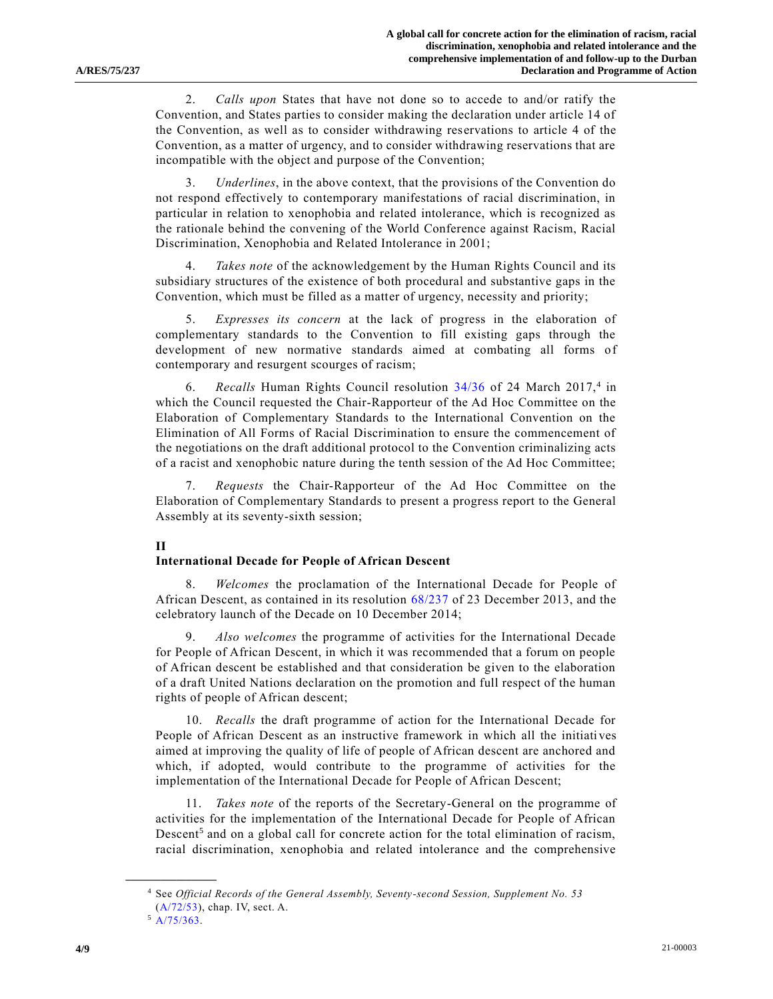2. *Calls upon* States that have not done so to accede to and/or ratify the Convention, and States parties to consider making the declaration under article 14 of the Convention, as well as to consider withdrawing reservations to article 4 of the Convention, as a matter of urgency, and to consider withdrawing reservations that are incompatible with the object and purpose of the Convention;

3. *Underlines*, in the above context, that the provisions of the Convention do not respond effectively to contemporary manifestations of racial discrimination, in particular in relation to xenophobia and related intolerance, which is recognized as the rationale behind the convening of the World Conference against Racism, Racial Discrimination, Xenophobia and Related Intolerance in 2001;

4. *Takes note* of the acknowledgement by the Human Rights Council and its subsidiary structures of the existence of both procedural and substantive gaps in the Convention, which must be filled as a matter of urgency, necessity and priority;

5. *Expresses its concern* at the lack of progress in the elaboration of complementary standards to the Convention to fill existing gaps through the development of new normative standards aimed at combating all forms of contemporary and resurgent scourges of racism;

6. Recalls Human Rights Council resolution [34/36](https://undocs.org/en/A/HRC/RES/34/36) of 24 March 2017,<sup>4</sup> in which the Council requested the Chair-Rapporteur of the Ad Hoc Committee on the Elaboration of Complementary Standards to the International Convention on the Elimination of All Forms of Racial Discrimination to ensure the commencement of the negotiations on the draft additional protocol to the Convention criminalizing acts of a racist and xenophobic nature during the tenth session of the Ad Hoc Committee;

7. *Requests* the Chair-Rapporteur of the Ad Hoc Committee on the Elaboration of Complementary Standards to present a progress report to the General Assembly at its seventy-sixth session;

#### **II**

### **International Decade for People of African Descent**

8. *Welcomes* the proclamation of the International Decade for People of African Descent, as contained in its resolution [68/237](https://undocs.org/en/A/RES/68/237) of 23 December 2013, and the celebratory launch of the Decade on 10 December 2014;

9. *Also welcomes* the programme of activities for the International Decade for People of African Descent, in which it was recommended that a forum on people of African descent be established and that consideration be given to the elaboration of a draft United Nations declaration on the promotion and full respect of the human rights of people of African descent;

10. *Recalls* the draft programme of action for the International Decade for People of African Descent as an instructive framework in which all the initiatives aimed at improving the quality of life of people of African descent are anchored and which, if adopted, would contribute to the programme of activities for the implementation of the International Decade for People of African Descent;

11. *Takes note* of the reports of the Secretary-General on the programme of activities for the implementation of the International Decade for People of African Descent<sup>5</sup> and on a global call for concrete action for the total elimination of racism, racial discrimination, xenophobia and related intolerance and the comprehensive

<sup>4</sup> See *Official Records of the General Assembly, Seventy-second Session, Supplement No. 53* [\(A/72/53\)](https://undocs.org/en/A/72/53), chap. IV, sect. A.

 $5$  [A/75/363.](https://undocs.org/en/A/75/363)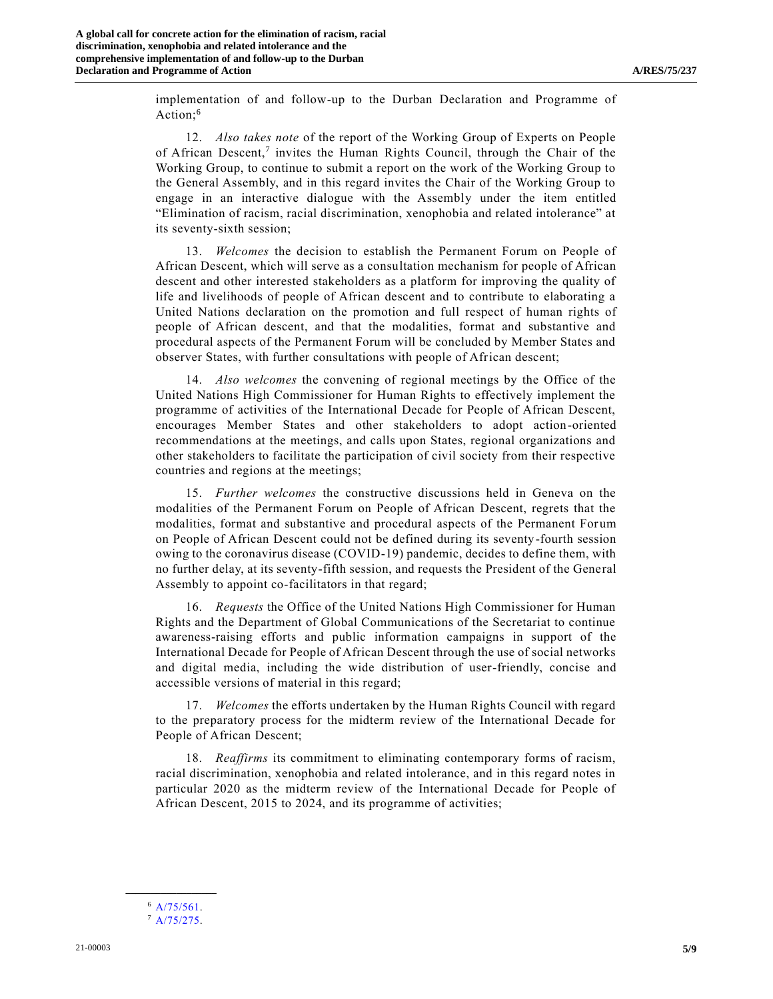implementation of and follow-up to the Durban Declaration and Programme of Action:<sup>6</sup>

12. *Also takes note* of the report of the Working Group of Experts on People of African Descent,<sup>7</sup> invites the Human Rights Council, through the Chair of the Working Group, to continue to submit a report on the work of the Working Group to the General Assembly, and in this regard invites the Chair of the Working Group to engage in an interactive dialogue with the Assembly under the item entitled "Elimination of racism, racial discrimination, xenophobia and related intolerance" at its seventy-sixth session;

13. *Welcomes* the decision to establish the Permanent Forum on People of African Descent, which will serve as a consultation mechanism for people of African descent and other interested stakeholders as a platform for improving the quality of life and livelihoods of people of African descent and to contribute to elaborating a United Nations declaration on the promotion and full respect of human rights of people of African descent, and that the modalities, format and substantive and procedural aspects of the Permanent Forum will be concluded by Member States and observer States, with further consultations with people of African descent;

14. *Also welcomes* the convening of regional meetings by the Office of the United Nations High Commissioner for Human Rights to effectively implement the programme of activities of the International Decade for People of African Descent, encourages Member States and other stakeholders to adopt action-oriented recommendations at the meetings, and calls upon States, regional organizations and other stakeholders to facilitate the participation of civil society from their respective countries and regions at the meetings;

15. *Further welcomes* the constructive discussions held in Geneva on the modalities of the Permanent Forum on People of African Descent, regrets that the modalities, format and substantive and procedural aspects of the Permanent For um on People of African Descent could not be defined during its seventy-fourth session owing to the coronavirus disease (COVID-19) pandemic, decides to define them, with no further delay, at its seventy-fifth session, and requests the President of the General Assembly to appoint co-facilitators in that regard;

16. *Requests* the Office of the United Nations High Commissioner for Human Rights and the Department of Global Communications of the Secretariat to continue awareness-raising efforts and public information campaigns in support of the International Decade for People of African Descent through the use of social networks and digital media, including the wide distribution of user-friendly, concise and accessible versions of material in this regard;

17. *Welcomes* the efforts undertaken by the Human Rights Council with regard to the preparatory process for the midterm review of the International Decade for People of African Descent;

18. *Reaffirms* its commitment to eliminating contemporary forms of racism, racial discrimination, xenophobia and related intolerance, and in this regard notes in particular 2020 as the midterm review of the International Decade for People of African Descent, 2015 to 2024, and its programme of activities;

**\_\_\_\_\_\_\_\_\_\_\_\_\_\_\_\_\_\_** <sup>6</sup> [A/75/561.](https://undocs.org/en/A/75/561)

 $7 A/75/275.$  $7 A/75/275.$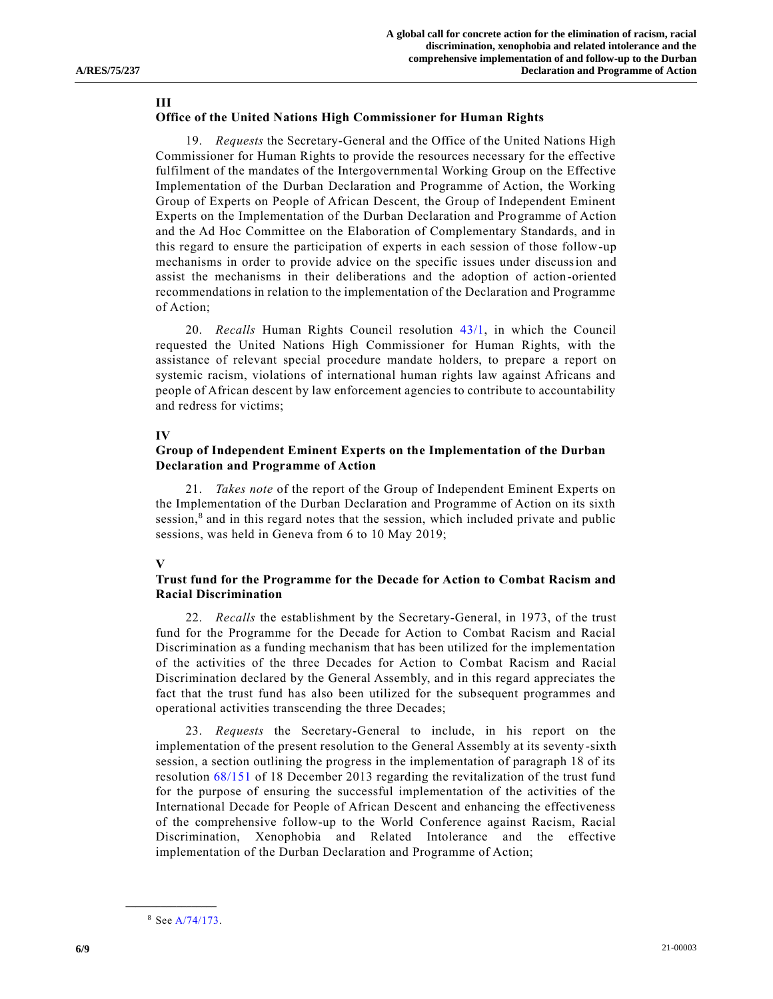#### **III**

## **Office of the United Nations High Commissioner for Human Rights**

19. *Requests* the Secretary-General and the Office of the United Nations High Commissioner for Human Rights to provide the resources necessary for the effective fulfilment of the mandates of the Intergovernmental Working Group on the Effective Implementation of the Durban Declaration and Programme of Action, the Working Group of Experts on People of African Descent, the Group of Independent Eminent Experts on the Implementation of the Durban Declaration and Programme of Action and the Ad Hoc Committee on the Elaboration of Complementary Standards, and in this regard to ensure the participation of experts in each session of those follow-up mechanisms in order to provide advice on the specific issues under discussion and assist the mechanisms in their deliberations and the adoption of action-oriented recommendations in relation to the implementation of the Declaration and Programme of Action;

20. *Recalls* Human Rights Council resolution [43/1,](https://undocs.org/en/A/HRC/RES/43/1) in which the Council requested the United Nations High Commissioner for Human Rights, with the assistance of relevant special procedure mandate holders, to prepare a report on systemic racism, violations of international human rights law against Africans and people of African descent by law enforcement agencies to contribute to accountability and redress for victims;

### **IV**

## **Group of Independent Eminent Experts on the Implementation of the Durban Declaration and Programme of Action**

21. *Takes note* of the report of the Group of Independent Eminent Experts on the Implementation of the Durban Declaration and Programme of Action on its sixth session,<sup>8</sup> and in this regard notes that the session, which included private and public sessions, was held in Geneva from 6 to 10 May 2019;

### **V**

# **Trust fund for the Programme for the Decade for Action to Combat Racism and Racial Discrimination**

22. *Recalls* the establishment by the Secretary-General, in 1973, of the trust fund for the Programme for the Decade for Action to Combat Racism and Racial Discrimination as a funding mechanism that has been utilized for the implementation of the activities of the three Decades for Action to Combat Racism and Racial Discrimination declared by the General Assembly, and in this regard appreciates the fact that the trust fund has also been utilized for the subsequent programmes and operational activities transcending the three Decades;

23. *Requests* the Secretary-General to include, in his report on the implementation of the present resolution to the General Assembly at its seventy-sixth session, a section outlining the progress in the implementation of paragraph 18 of its resolution [68/151](https://undocs.org/en/A/RES/68/151) of 18 December 2013 regarding the revitalization of the trust fund for the purpose of ensuring the successful implementation of the activities of the International Decade for People of African Descent and enhancing the effectiveness of the comprehensive follow-up to the World Conference against Racism, Racial Discrimination, Xenophobia and Related Intolerance and the effective implementation of the Durban Declaration and Programme of Action;

<sup>8</sup> Se[e A/74/173.](https://undocs.org/en/A/74/173)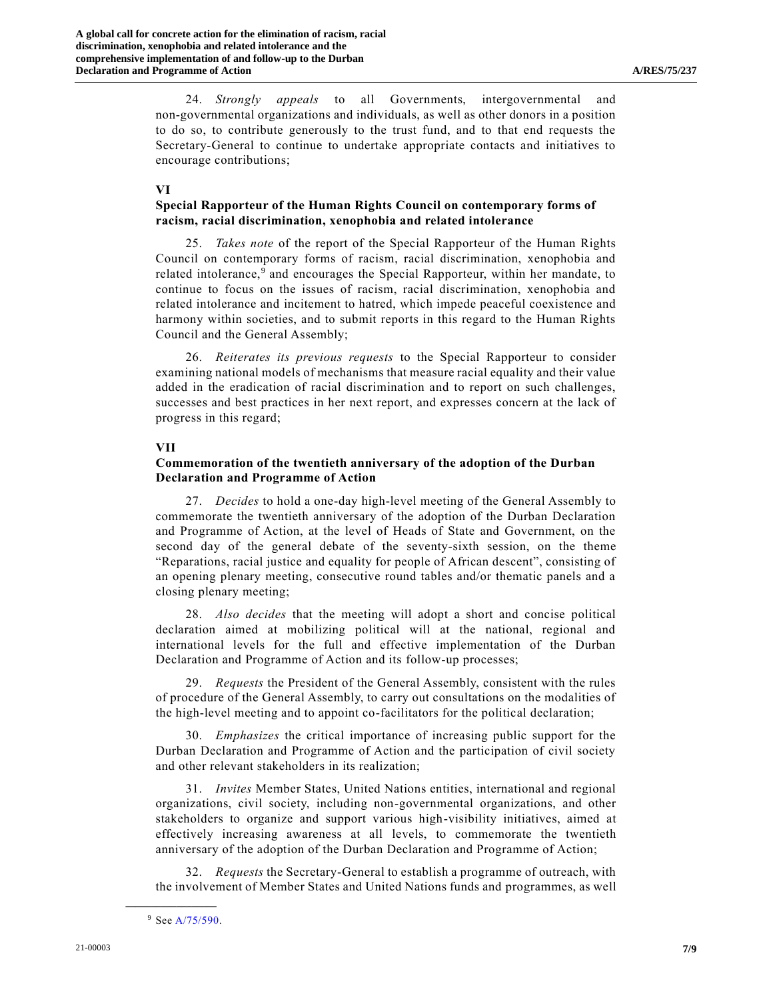24. *Strongly appeals* to all Governments, intergovernmental and non-governmental organizations and individuals, as well as other donors in a position to do so, to contribute generously to the trust fund, and to that end requests the Secretary-General to continue to undertake appropriate contacts and initiatives to encourage contributions;

#### **VI**

# **Special Rapporteur of the Human Rights Council on contemporary forms of racism, racial discrimination, xenophobia and related intolerance**

25. *Takes note* of the report of the Special Rapporteur of the Human Rights Council on contemporary forms of racism, racial discrimination, xenophobia and related intolerance,<sup>9</sup> and encourages the Special Rapporteur, within her mandate, to continue to focus on the issues of racism, racial discrimination, xenophobia and related intolerance and incitement to hatred, which impede peaceful coexistence and harmony within societies, and to submit reports in this regard to the Human Rights Council and the General Assembly;

26. *Reiterates its previous requests* to the Special Rapporteur to consider examining national models of mechanisms that measure racial equality and their value added in the eradication of racial discrimination and to report on such challenges, successes and best practices in her next report, and expresses concern at the lack of progress in this regard;

# **VII**

# **Commemoration of the twentieth anniversary of the adoption of the Durban Declaration and Programme of Action**

27. *Decides* to hold a one-day high-level meeting of the General Assembly to commemorate the twentieth anniversary of the adoption of the Durban Declaration and Programme of Action, at the level of Heads of State and Government, on the second day of the general debate of the seventy-sixth session, on the theme "Reparations, racial justice and equality for people of African descent", consisting of an opening plenary meeting, consecutive round tables and/or thematic panels and a closing plenary meeting;

28. *Also decides* that the meeting will adopt a short and concise political declaration aimed at mobilizing political will at the national, regional and international levels for the full and effective implementation of the Durban Declaration and Programme of Action and its follow-up processes;

29. *Requests* the President of the General Assembly, consistent with the rules of procedure of the General Assembly, to carry out consultations on the modalities of the high-level meeting and to appoint co-facilitators for the political declaration;

30. *Emphasizes* the critical importance of increasing public support for the Durban Declaration and Programme of Action and the participation of civil society and other relevant stakeholders in its realization;

31. *Invites* Member States, United Nations entities, international and regional organizations, civil society, including non-governmental organizations, and other stakeholders to organize and support various high-visibility initiatives, aimed at effectively increasing awareness at all levels, to commemorate the twentieth anniversary of the adoption of the Durban Declaration and Programme of Action;

32. *Requests* the Secretary-General to establish a programme of outreach, with the involvement of Member States and United Nations funds and programmes, as well

<sup>9</sup> Se[e A/75/590.](https://undocs.org/en/A/75/590)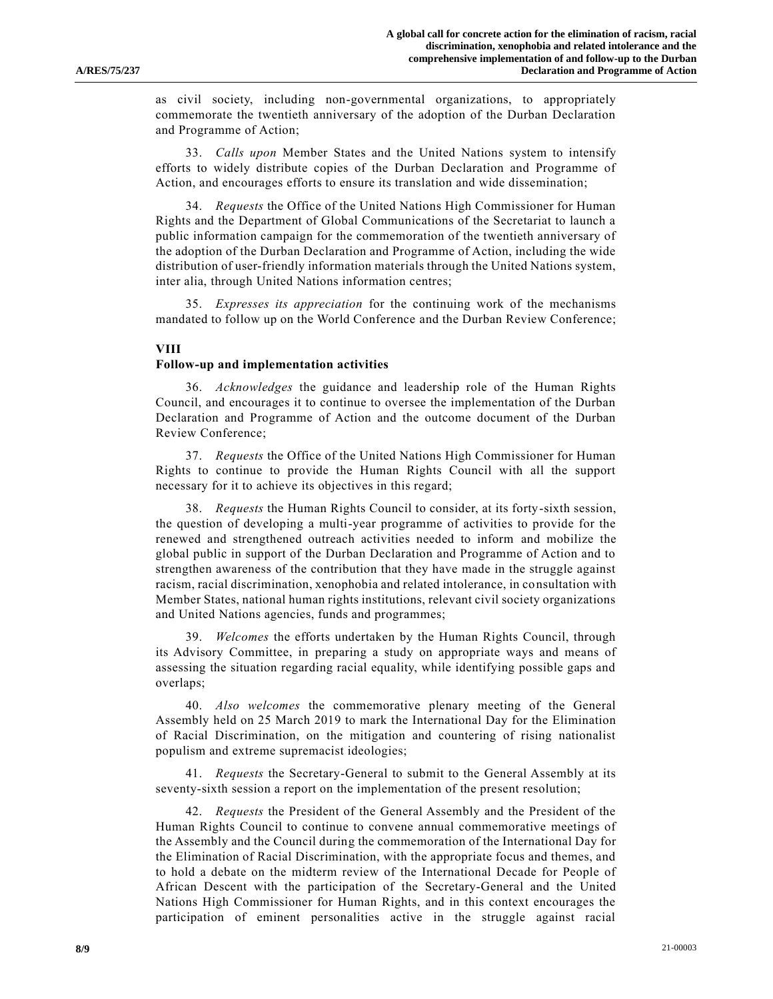as civil society, including non-governmental organizations, to appropriately commemorate the twentieth anniversary of the adoption of the Durban Declaration and Programme of Action;

33. *Calls upon* Member States and the United Nations system to intensify efforts to widely distribute copies of the Durban Declaration and Programme of Action, and encourages efforts to ensure its translation and wide dissemination;

34. *Requests* the Office of the United Nations High Commissioner for Human Rights and the Department of Global Communications of the Secretariat to launch a public information campaign for the commemoration of the twentieth anniversary of the adoption of the Durban Declaration and Programme of Action, including the wide distribution of user-friendly information materials through the United Nations system, inter alia, through United Nations information centres;

35. *Expresses its appreciation* for the continuing work of the mechanisms mandated to follow up on the World Conference and the Durban Review Conference;

#### **VIII**

#### **Follow-up and implementation activities**

36. *Acknowledges* the guidance and leadership role of the Human Rights Council, and encourages it to continue to oversee the implementation of the Durban Declaration and Programme of Action and the outcome document of the Durban Review Conference;

37. *Requests* the Office of the United Nations High Commissioner for Human Rights to continue to provide the Human Rights Council with all the support necessary for it to achieve its objectives in this regard;

38. *Requests* the Human Rights Council to consider, at its forty-sixth session, the question of developing a multi-year programme of activities to provide for the renewed and strengthened outreach activities needed to inform and mobilize the global public in support of the Durban Declaration and Programme of Action and to strengthen awareness of the contribution that they have made in the struggle against racism, racial discrimination, xenophobia and related intolerance, in consultation with Member States, national human rights institutions, relevant civil society organizations and United Nations agencies, funds and programmes;

39. *Welcomes* the efforts undertaken by the Human Rights Council, through its Advisory Committee, in preparing a study on appropriate ways and means of assessing the situation regarding racial equality, while identifying possible gaps and overlaps;

40. *Also welcomes* the commemorative plenary meeting of the General Assembly held on 25 March 2019 to mark the International Day for the Elimination of Racial Discrimination, on the mitigation and countering of rising nationalist populism and extreme supremacist ideologies;

41. *Requests* the Secretary-General to submit to the General Assembly at its seventy-sixth session a report on the implementation of the present resolution;

42. *Requests* the President of the General Assembly and the President of the Human Rights Council to continue to convene annual commemorative meetings of the Assembly and the Council during the commemoration of the International Day for the Elimination of Racial Discrimination, with the appropriate focus and themes, and to hold a debate on the midterm review of the International Decade for People of African Descent with the participation of the Secretary-General and the United Nations High Commissioner for Human Rights, and in this context encourages the participation of eminent personalities active in the struggle against racial